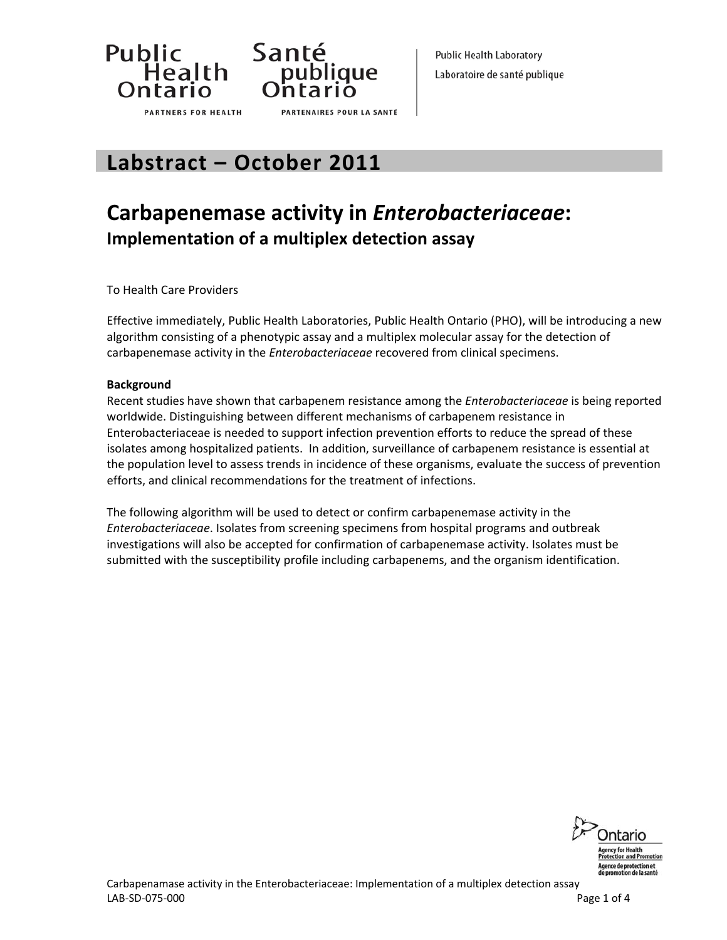



**Public Health Laboratory** Laboratoire de santé publique

# **Labstract – October 2011**

# **Carbapenemase activity in** *Enterobacteriaceae***: Implementation of a multiplex detection assay**

To Health Care Providers

Effective immediately, Public Health Laboratories, Public Health Ontario (PHO), will be introducing a new algorithm consisting of a phenotypic assay and a multiplex molecular assay for the detection of carbapenemase activity in the *Enterobacteriaceae* recovered from clinical specimens.

### **Background**

Recent studies have shown that carbapenem resistance among the *Enterobacteriaceae* is being reported worldwide. Distinguishing between different mechanisms of carbapenem resistance in Enterobacteriaceae is needed to support infection prevention efforts to reduce the spread of these isolates among hospitalized patients. In addition, surveillance of carbapenem resistance is essential at the population level to assess trends in incidence of these organisms, evaluate the success of prevention efforts, and clinical recommendations for the treatment of infections.

The following algorithm will be used to detect or confirm carbapenemase activity in the *Enterobacteriaceae*. Isolates from screening specimens from hospital programs and outbreak investigations will also be accepted for confirmation of carbapenemase activity. Isolates must be submitted with the susceptibility profile including carbapenems, and the organism identification.

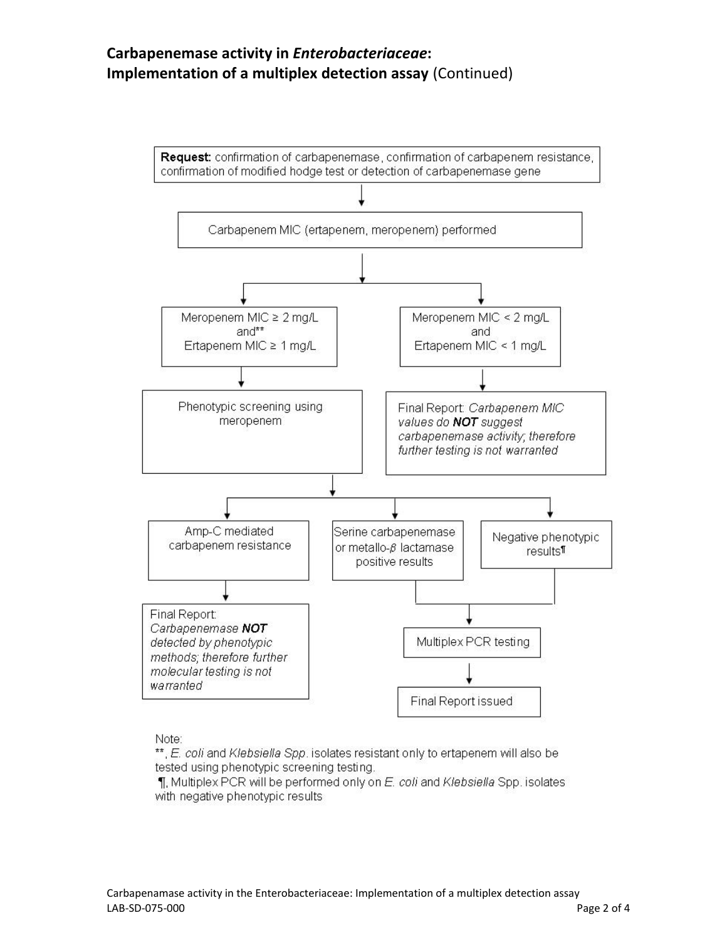# **Carbapenemase activity in** *Enterobacteriaceae***: Implementation of a multiplex detection assay** (Continued)



#### Note:

\*\*, E. coli and Klebsiella Spp. isolates resistant only to ertapenem will also be tested using phenotypic screening testing.

1. Multiplex PCR will be performed only on E. coli and Klebsiella Spp. isolates with negative phenotypic results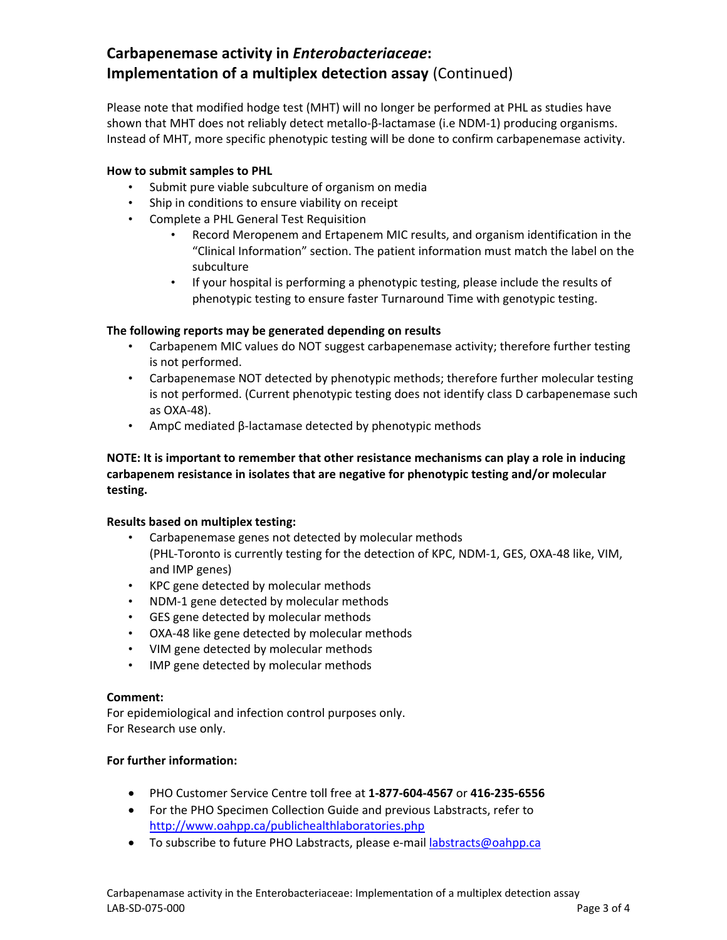# **Carbapenemase activity in** *Enterobacteriaceae***: Implementation of a multiplex detection assay** (Continued)

Please note that modified hodge test (MHT) will no longer be performed at PHL as studies have shown that MHT does not reliably detect metallo‐β‐lactamase (i.e NDM‐1) producing organisms. Instead of MHT, more specific phenotypic testing will be done to confirm carbapenemase activity.

## **How to submit samples to PHL**

- Submit pure viable subculture of organism on media
- Ship in conditions to ensure viability on receipt
- Complete a PHL General Test Requisition
	- Record Meropenem and Ertapenem MIC results, and organism identification in the "Clinical Information" section. The patient information must match the label on the subculture
	- If your hospital is performing a phenotypic testing, please include the results of phenotypic testing to ensure faster Turnaround Time with genotypic testing.

## **The following reports may be generated depending on results**

- Carbapenem MIC values do NOT suggest carbapenemase activity; therefore further testing is not performed.
- Carbapenemase NOT detected by phenotypic methods; therefore further molecular testing is not performed. (Current phenotypic testing does not identify class D carbapenemase such as OXA‐48).
- AmpC mediated β‐lactamase detected by phenotypic methods

**NOTE: It is important to remember that other resistance mechanisms can play a role in inducing carbapenem resistance in isolates that are negative for phenotypic testing and/or molecular testing.** 

### **Results based on multiplex testing:**

- Carbapenemase genes not detected by molecular methods (PHL‐Toronto is currently testing for the detection of KPC, NDM‐1, GES, OXA‐48 like, VIM, and IMP genes)
- KPC gene detected by molecular methods
- NDM‐1 gene detected by molecular methods
- GES gene detected by molecular methods
- OXA‐48 like gene detected by molecular methods
- VIM gene detected by molecular methods
- IMP gene detected by molecular methods

### **Comment:**

For epidemiological and infection control purposes only. For Research use only.

### **For further information:**

- PHO Customer Service Centre toll free at **1‐877‐604‐4567** or **416‐235‐6556**
- For the PHO Specimen Collection Guide and previous Labstracts, refer to <http://www.oahpp.ca/publichealthlaboratories.php>
- To subscribe to future PHO Labstracts, please e-mail [labstracts@oahpp.ca](mailto:labstracts@oahpp.ca)